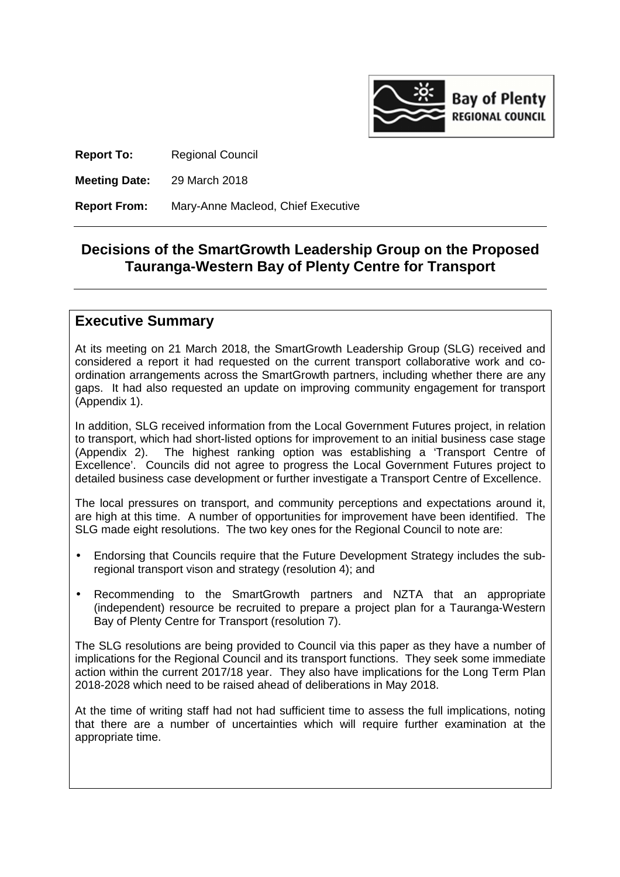

**Report To:** Regional Council

**Meeting Date:** 29 March 2018

**Report From:** Mary-Anne Macleod, Chief Executive

## **Decisions of the SmartGrowth Leadership Group on the Proposed Tauranga-Western Bay of Plenty Centre for Transport**

## **Executive Summary**

At its meeting on 21 March 2018, the SmartGrowth Leadership Group (SLG) received and considered a report it had requested on the current transport collaborative work and coordination arrangements across the SmartGrowth partners, including whether there are any gaps. It had also requested an update on improving community engagement for transport (Appendix 1).

In addition, SLG received information from the Local Government Futures project, in relation to transport, which had short-listed options for improvement to an initial business case stage (Appendix 2). The highest ranking option was establishing a 'Transport Centre of Excellence'. Councils did not agree to progress the Local Government Futures project to detailed business case development or further investigate a Transport Centre of Excellence.

The local pressures on transport, and community perceptions and expectations around it, are high at this time. A number of opportunities for improvement have been identified. The SLG made eight resolutions. The two key ones for the Regional Council to note are:

- Endorsing that Councils require that the Future Development Strategy includes the subregional transport vison and strategy (resolution 4); and
- Recommending to the SmartGrowth partners and NZTA that an appropriate (independent) resource be recruited to prepare a project plan for a Tauranga-Western Bay of Plenty Centre for Transport (resolution 7).

The SLG resolutions are being provided to Council via this paper as they have a number of implications for the Regional Council and its transport functions. They seek some immediate action within the current 2017/18 year. They also have implications for the Long Term Plan 2018-2028 which need to be raised ahead of deliberations in May 2018.

At the time of writing staff had not had sufficient time to assess the full implications, noting that there are a number of uncertainties which will require further examination at the appropriate time.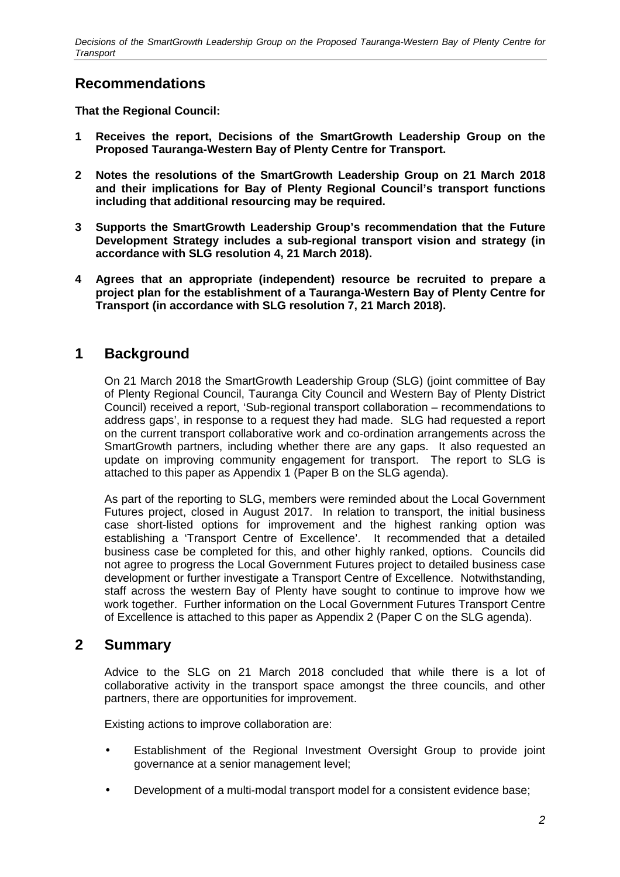## **Recommendations**

**That the Regional Council:** 

- **1 Receives the report, Decisions of the SmartGrowth Leadership Group on the Proposed Tauranga-Western Bay of Plenty Centre for Transport.**
- **2 Notes the resolutions of the SmartGrowth Leadership Group on 21 March 2018 and their implications for Bay of Plenty Regional Council's transport functions including that additional resourcing may be required.**
- **3 Supports the SmartGrowth Leadership Group's recommendation that the Future Development Strategy includes a sub-regional transport vision and strategy (in accordance with SLG resolution 4, 21 March 2018).**
- **4 Agrees that an appropriate (independent) resource be recruited to prepare a project plan for the establishment of a Tauranga-Western Bay of Plenty Centre for Transport (in accordance with SLG resolution 7, 21 March 2018).**

## **1 Background**

On 21 March 2018 the SmartGrowth Leadership Group (SLG) (joint committee of Bay of Plenty Regional Council, Tauranga City Council and Western Bay of Plenty District Council) received a report, 'Sub-regional transport collaboration – recommendations to address gaps', in response to a request they had made. SLG had requested a report on the current transport collaborative work and co-ordination arrangements across the SmartGrowth partners, including whether there are any gaps. It also requested an update on improving community engagement for transport. The report to SLG is attached to this paper as Appendix 1 (Paper B on the SLG agenda).

As part of the reporting to SLG, members were reminded about the Local Government Futures project, closed in August 2017. In relation to transport, the initial business case short-listed options for improvement and the highest ranking option was establishing a 'Transport Centre of Excellence'. It recommended that a detailed business case be completed for this, and other highly ranked, options. Councils did not agree to progress the Local Government Futures project to detailed business case development or further investigate a Transport Centre of Excellence. Notwithstanding, staff across the western Bay of Plenty have sought to continue to improve how we work together. Further information on the Local Government Futures Transport Centre of Excellence is attached to this paper as Appendix 2 (Paper C on the SLG agenda).

## **2 Summary**

Advice to the SLG on 21 March 2018 concluded that while there is a lot of collaborative activity in the transport space amongst the three councils, and other partners, there are opportunities for improvement.

Existing actions to improve collaboration are:

- Establishment of the Regional Investment Oversight Group to provide joint governance at a senior management level;
- Development of a multi-modal transport model for a consistent evidence base;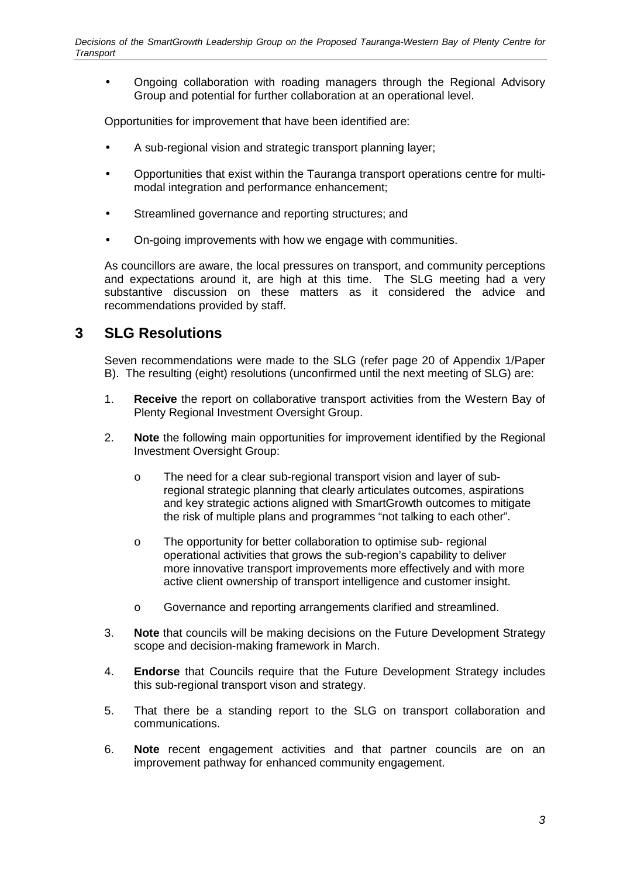• Ongoing collaboration with roading managers through the Regional Advisory Group and potential for further collaboration at an operational level.

Opportunities for improvement that have been identified are:

- A sub-regional vision and strategic transport planning layer;
- Opportunities that exist within the Tauranga transport operations centre for multimodal integration and performance enhancement;
- Streamlined governance and reporting structures; and
- On-going improvements with how we engage with communities.

As councillors are aware, the local pressures on transport, and community perceptions and expectations around it, are high at this time. The SLG meeting had a very substantive discussion on these matters as it considered the advice and recommendations provided by staff.

## **3 SLG Resolutions**

Seven recommendations were made to the SLG (refer page 20 of Appendix 1/Paper B). The resulting (eight) resolutions (unconfirmed until the next meeting of SLG) are:

- 1. **Receive** the report on collaborative transport activities from the Western Bay of Plenty Regional Investment Oversight Group.
- 2. **Note** the following main opportunities for improvement identified by the Regional Investment Oversight Group:
	- o The need for a clear sub-regional transport vision and layer of subregional strategic planning that clearly articulates outcomes, aspirations and key strategic actions aligned with SmartGrowth outcomes to mitigate the risk of multiple plans and programmes "not talking to each other".
	- o The opportunity for better collaboration to optimise sub- regional operational activities that grows the sub-region's capability to deliver more innovative transport improvements more effectively and with more active client ownership of transport intelligence and customer insight.
	- o Governance and reporting arrangements clarified and streamlined.
- 3. **Note** that councils will be making decisions on the Future Development Strategy scope and decision-making framework in March.
- 4. **Endorse** that Councils require that the Future Development Strategy includes this sub-regional transport vison and strategy.
- 5. That there be a standing report to the SLG on transport collaboration and communications.
- 6. **Note** recent engagement activities and that partner councils are on an improvement pathway for enhanced community engagement.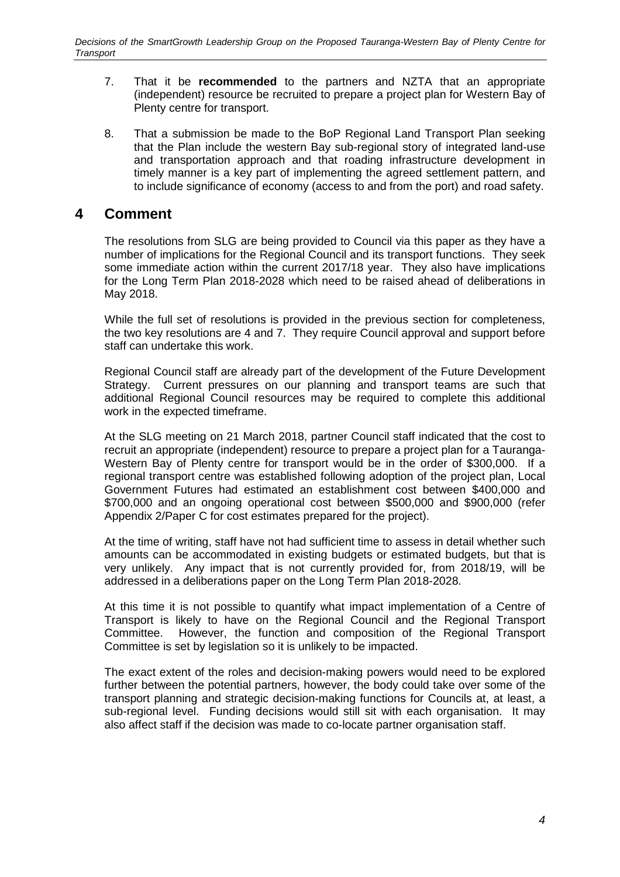- 7. That it be **recommended** to the partners and NZTA that an appropriate (independent) resource be recruited to prepare a project plan for Western Bay of Plenty centre for transport.
- 8. That a submission be made to the BoP Regional Land Transport Plan seeking that the Plan include the western Bay sub-regional story of integrated land-use and transportation approach and that roading infrastructure development in timely manner is a key part of implementing the agreed settlement pattern, and to include significance of economy (access to and from the port) and road safety.

## **4 Comment**

The resolutions from SLG are being provided to Council via this paper as they have a number of implications for the Regional Council and its transport functions. They seek some immediate action within the current 2017/18 year. They also have implications for the Long Term Plan 2018-2028 which need to be raised ahead of deliberations in May 2018.

While the full set of resolutions is provided in the previous section for completeness, the two key resolutions are 4 and 7. They require Council approval and support before staff can undertake this work.

Regional Council staff are already part of the development of the Future Development Strategy. Current pressures on our planning and transport teams are such that additional Regional Council resources may be required to complete this additional work in the expected timeframe.

At the SLG meeting on 21 March 2018, partner Council staff indicated that the cost to recruit an appropriate (independent) resource to prepare a project plan for a Tauranga-Western Bay of Plenty centre for transport would be in the order of \$300,000. If a regional transport centre was established following adoption of the project plan, Local Government Futures had estimated an establishment cost between \$400,000 and \$700,000 and an ongoing operational cost between \$500,000 and \$900,000 (refer Appendix 2/Paper C for cost estimates prepared for the project).

At the time of writing, staff have not had sufficient time to assess in detail whether such amounts can be accommodated in existing budgets or estimated budgets, but that is very unlikely. Any impact that is not currently provided for, from 2018/19, will be addressed in a deliberations paper on the Long Term Plan 2018-2028.

At this time it is not possible to quantify what impact implementation of a Centre of Transport is likely to have on the Regional Council and the Regional Transport Committee. However, the function and composition of the Regional Transport Committee is set by legislation so it is unlikely to be impacted.

The exact extent of the roles and decision-making powers would need to be explored further between the potential partners, however, the body could take over some of the transport planning and strategic decision-making functions for Councils at, at least, a sub-regional level. Funding decisions would still sit with each organisation. It may also affect staff if the decision was made to co-locate partner organisation staff.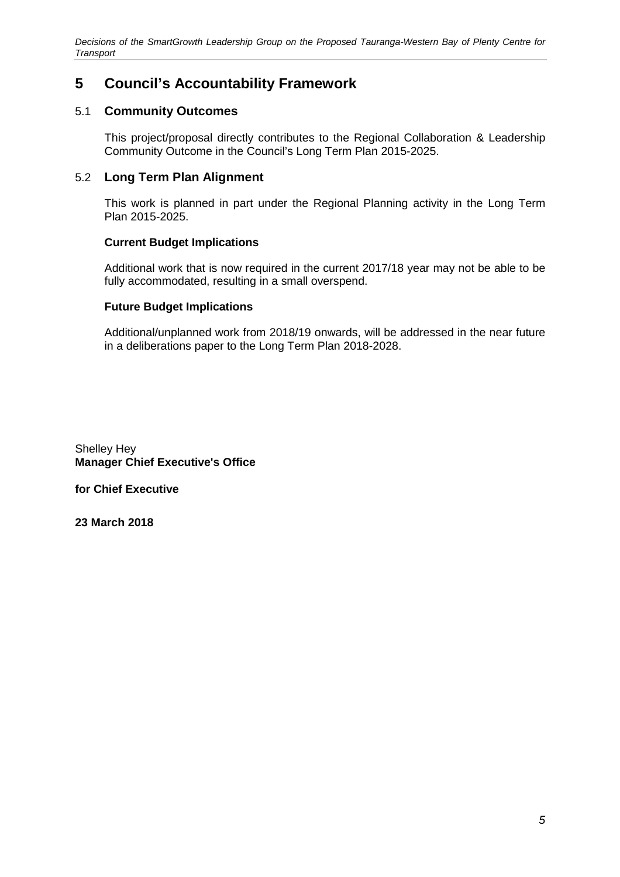## **5 Council's Accountability Framework**

### 5.1 **Community Outcomes**

This project/proposal directly contributes to the Regional Collaboration & Leadership Community Outcome in the Council's Long Term Plan 2015-2025.

### 5.2 **Long Term Plan Alignment**

This work is planned in part under the Regional Planning activity in the Long Term Plan 2015-2025.

### **Current Budget Implications**

Additional work that is now required in the current 2017/18 year may not be able to be fully accommodated, resulting in a small overspend.

### **Future Budget Implications**

Additional/unplanned work from 2018/19 onwards, will be addressed in the near future in a deliberations paper to the Long Term Plan 2018-2028.

Shelley Hey **Manager Chief Executive's Office** 

**for Chief Executive** 

**23 March 2018**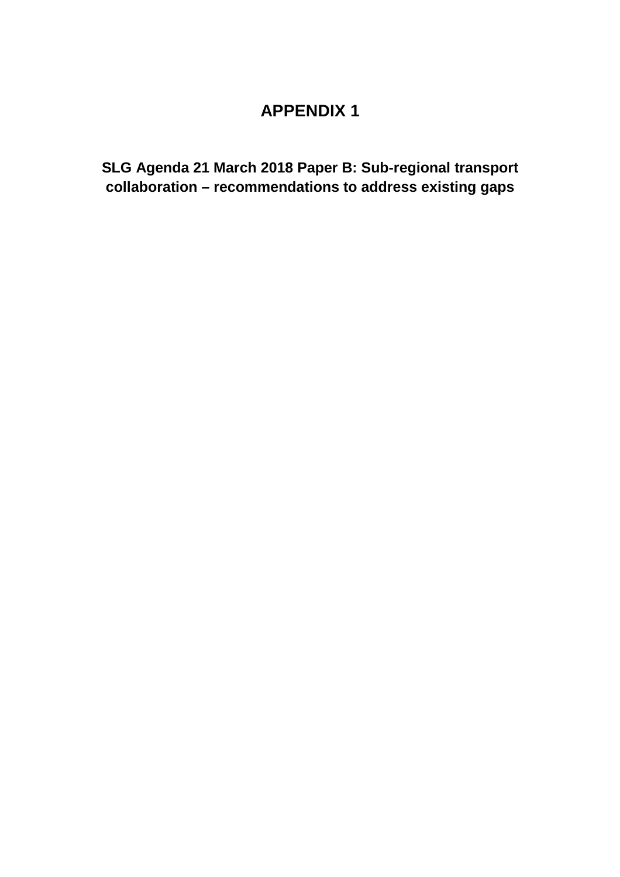## **APPENDIX 1**

**SLG Agenda 21 March 2018 Paper B: Sub-regional transport collaboration – recommendations to address existing gaps**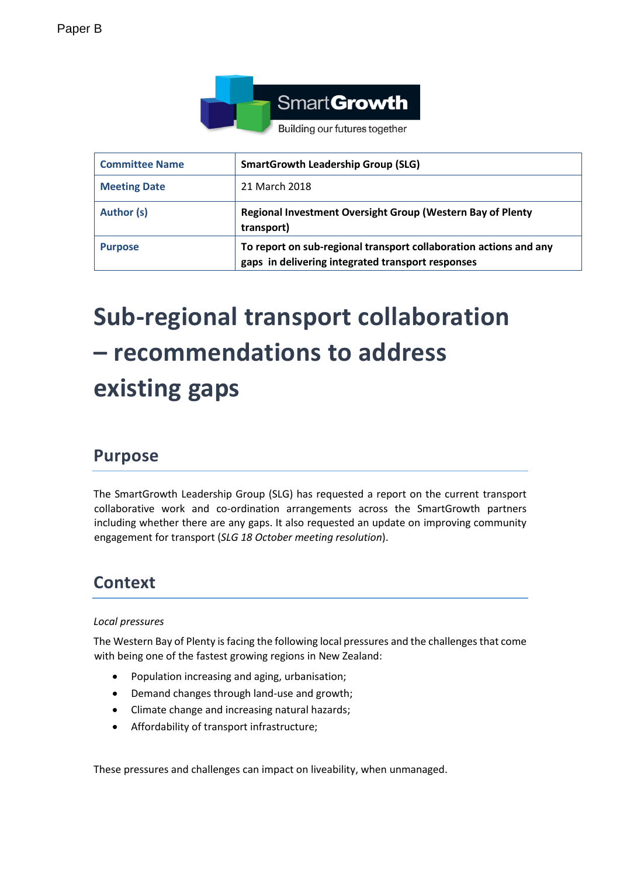

| <b>Committee Name</b> | <b>SmartGrowth Leadership Group (SLG)</b>                                                                              |
|-----------------------|------------------------------------------------------------------------------------------------------------------------|
| <b>Meeting Date</b>   | 21 March 2018                                                                                                          |
| Author (s)            | Regional Investment Oversight Group (Western Bay of Plenty<br>transport)                                               |
| <b>Purpose</b>        | To report on sub-regional transport collaboration actions and any<br>gaps in delivering integrated transport responses |

# **Sub-regional transport collaboration – recommendations to address existing gaps**

## **Purpose**

The SmartGrowth Leadership Group (SLG) has requested a report on the current transport collaborative work and co-ordination arrangements across the SmartGrowth partners including whether there are any gaps. It also requested an update on improving community engagement for transport (*SLG 18 October meeting resolution*).

## **Context**

### *Local pressures*

The Western Bay of Plenty is facing the following local pressures and the challenges that come with being one of the fastest growing regions in New Zealand:

- Population increasing and aging, urbanisation;
- Demand changes through land-use and growth;
- Climate change and increasing natural hazards;
- Affordability of transport infrastructure;

These pressures and challenges can impact on liveability, when unmanaged.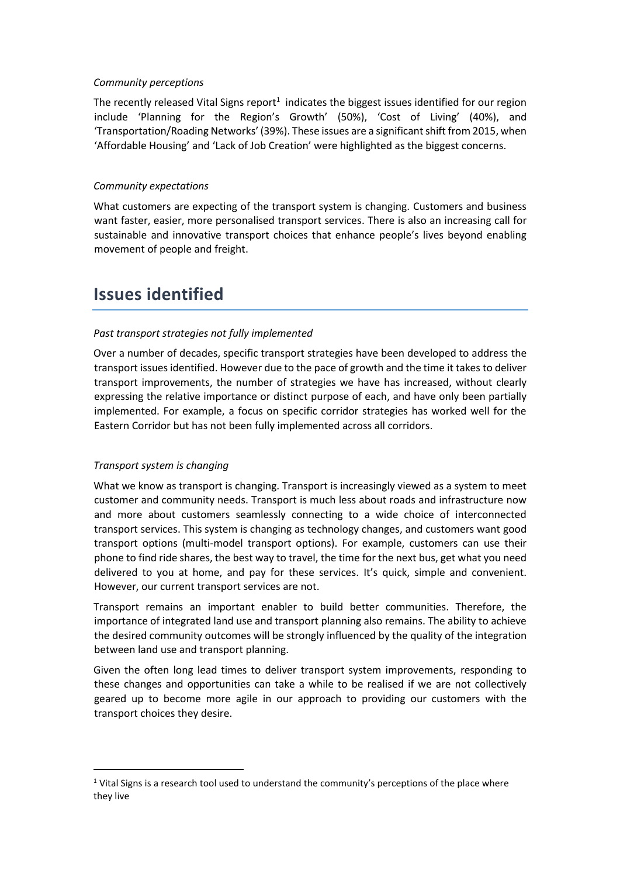### *Community perceptions*

The recently released Vital Signs report<sup>1</sup> indicates the biggest issues identified for our region include 'Planning for the Region's Growth' (50%), 'Cost of Living' (40%), and 'Transportation/Roading Networks' (39%). These issues are a significant shift from 2015, when 'Affordable Housing' and 'Lack of Job Creation' were highlighted as the biggest concerns.

### *Community expectations*

What customers are expecting of the transport system is changing. Customers and business want faster, easier, more personalised transport services. There is also an increasing call for sustainable and innovative transport choices that enhance people's lives beyond enabling movement of people and freight.

## **Issues identified**

### *Past transport strategies not fully implemented*

Over a number of decades, specific transport strategies have been developed to address the transport issues identified. However due to the pace of growth and the time it takes to deliver transport improvements, the number of strategies we have has increased, without clearly expressing the relative importance or distinct purpose of each, and have only been partially implemented. For example, a focus on specific corridor strategies has worked well for the Eastern Corridor but has not been fully implemented across all corridors.

### *Transport system is changing*

 $\overline{a}$ 

What we know as transport is changing. Transport is increasingly viewed as a system to meet customer and community needs. Transport is much less about roads and infrastructure now and more about customers seamlessly connecting to a wide choice of interconnected transport services. This system is changing as technology changes, and customers want good transport options (multi-model transport options). For example, customers can use their phone to find ride shares, the best way to travel, the time for the next bus, get what you need delivered to you at home, and pay for these services. It's quick, simple and convenient. However, our current transport services are not.

Transport remains an important enabler to build better communities. Therefore, the importance of integrated land use and transport planning also remains. The ability to achieve the desired community outcomes will be strongly influenced by the quality of the integration between land use and transport planning.

Given the often long lead times to deliver transport system improvements, responding to these changes and opportunities can take a while to be realised if we are not collectively geared up to become more agile in our approach to providing our customers with the transport choices they desire.

 $1$  Vital Signs is a research tool used to understand the community's perceptions of the place where they live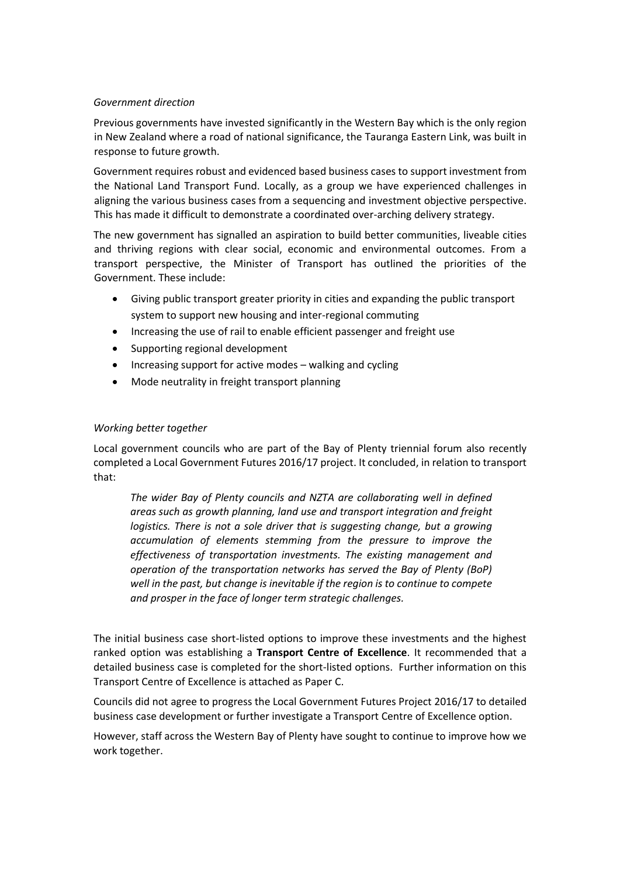### *Government direction*

Previous governments have invested significantly in the Western Bay which is the only region in New Zealand where a road of national significance, the Tauranga Eastern Link, was built in response to future growth.

Government requires robust and evidenced based business cases to support investment from the National Land Transport Fund. Locally, as a group we have experienced challenges in aligning the various business cases from a sequencing and investment objective perspective. This has made it difficult to demonstrate a coordinated over-arching delivery strategy.

The new government has signalled an aspiration to build better communities, liveable cities and thriving regions with clear social, economic and environmental outcomes. From a transport perspective, the Minister of Transport has outlined the priorities of the Government. These include:

- Giving public transport greater priority in cities and expanding the public transport system to support new housing and inter-regional commuting
- Increasing the use of rail to enable efficient passenger and freight use
- Supporting regional development
- Increasing support for active modes walking and cycling
- Mode neutrality in freight transport planning

### *Working better together*

Local government councils who are part of the Bay of Plenty triennial forum also recently completed a Local Government Futures 2016/17 project. It concluded, in relation to transport that:

*The wider Bay of Plenty councils and NZTA are collaborating well in defined areas such as growth planning, land use and transport integration and freight logistics. There is not a sole driver that is suggesting change, but a growing accumulation of elements stemming from the pressure to improve the effectiveness of transportation investments. The existing management and operation of the transportation networks has served the Bay of Plenty (BoP) well in the past, but change is inevitable if the region is to continue to compete and prosper in the face of longer term strategic challenges.*

The initial business case short-listed options to improve these investments and the highest ranked option was establishing a **Transport Centre of Excellence**. It recommended that a detailed business case is completed for the short-listed options. Further information on this Transport Centre of Excellence is attached as Paper C.

Councils did not agree to progress the Local Government Futures Project 2016/17 to detailed business case development or further investigate a Transport Centre of Excellence option.

However, staff across the Western Bay of Plenty have sought to continue to improve how we work together.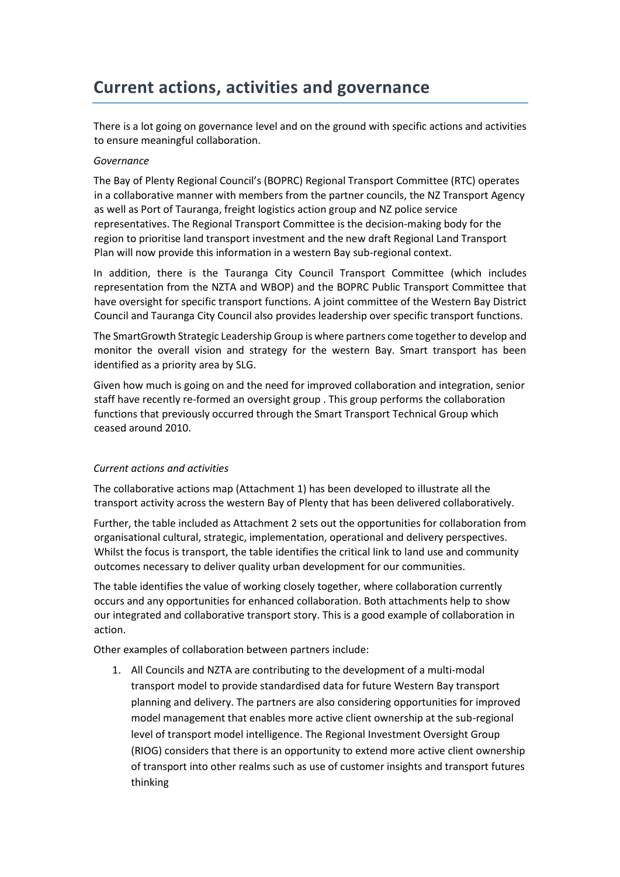## **Current actions, activities and governance**

There is a lot going on governance level and on the ground with specific actions and activities to ensure meaningful collaboration.

### *Governance*

The Bay of Plenty Regional Council's (BOPRC) Regional Transport Committee (RTC) operates in a collaborative manner with members from the partner councils, the NZ Transport Agency as well as Port of Tauranga, freight logistics action group and NZ police service representatives. The Regional Transport Committee is the decision-making body for the region to prioritise land transport investment and the new draft Regional Land Transport Plan will now provide this information in a western Bay sub-regional context.

In addition, there is the Tauranga City Council Transport Committee (which includes representation from the NZTA and WBOP) and the BOPRC Public Transport Committee that have oversight for specific transport functions. A joint committee of the Western Bay District Council and Tauranga City Council also provides leadership over specific transport functions.

The SmartGrowth Strategic Leadership Group is where partners come together to develop and monitor the overall vision and strategy for the western Bay. Smart transport has been identified as a priority area by SLG.

Given how much is going on and the need for improved collaboration and integration, senior staff have recently re-formed an oversight group . This group performs the collaboration functions that previously occurred through the Smart Transport Technical Group which ceased around 2010.

### *Current actions and activities*

The collaborative actions map (Attachment 1) has been developed to illustrate all the transport activity across the western Bay of Plenty that has been delivered collaboratively.

Further, the table included as Attachment 2 sets out the opportunities for collaboration from organisational cultural, strategic, implementation, operational and delivery perspectives. Whilst the focus is transport, the table identifies the critical link to land use and community outcomes necessary to deliver quality urban development for our communities.

The table identifies the value of working closely together, where collaboration currently occurs and any opportunities for enhanced collaboration. Both attachments help to show our integrated and collaborative transport story. This is a good example of collaboration in action.

Other examples of collaboration between partners include:

1. All Councils and NZTA are contributing to the development of a multi-modal transport model to provide standardised data for future Western Bay transport planning and delivery. The partners are also considering opportunities for improved model management that enables more active client ownership at the sub-regional level of transport model intelligence. The Regional Investment Oversight Group (RIOG) considers that there is an opportunity to extend more active client ownership of transport into other realms such as use of customer insights and transport futures thinking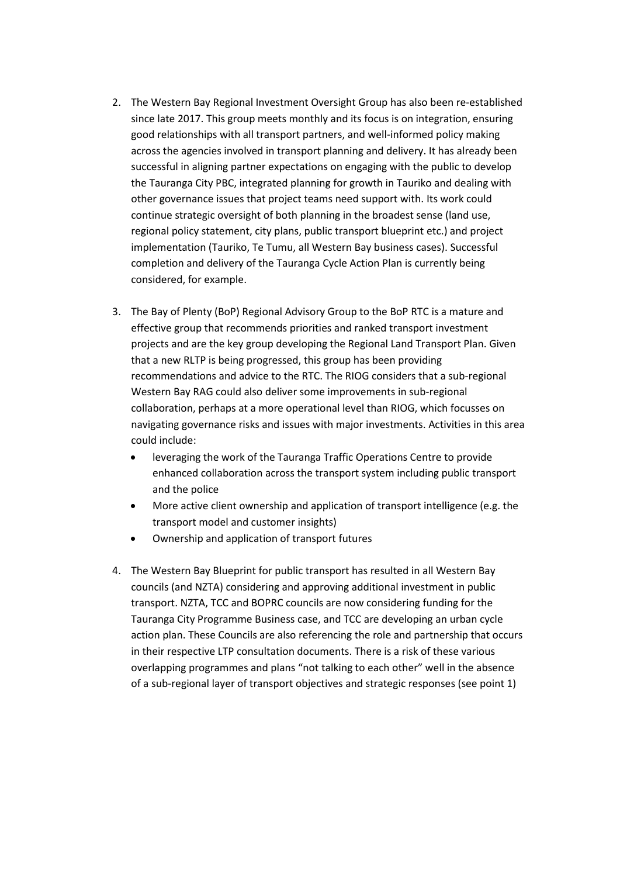- 2. The Western Bay Regional Investment Oversight Group has also been re-established since late 2017. This group meets monthly and its focus is on integration, ensuring good relationships with all transport partners, and well-informed policy making across the agencies involved in transport planning and delivery. It has already been successful in aligning partner expectations on engaging with the public to develop the Tauranga City PBC, integrated planning for growth in Tauriko and dealing with other governance issues that project teams need support with. Its work could continue strategic oversight of both planning in the broadest sense (land use, regional policy statement, city plans, public transport blueprint etc.) and project implementation (Tauriko, Te Tumu, all Western Bay business cases). Successful completion and delivery of the Tauranga Cycle Action Plan is currently being considered, for example.
- 3. The Bay of Plenty (BoP) Regional Advisory Group to the BoP RTC is a mature and effective group that recommends priorities and ranked transport investment projects and are the key group developing the Regional Land Transport Plan. Given that a new RLTP is being progressed, this group has been providing recommendations and advice to the RTC. The RIOG considers that a sub-regional Western Bay RAG could also deliver some improvements in sub-regional collaboration, perhaps at a more operational level than RIOG, which focusses on navigating governance risks and issues with major investments. Activities in this area could include:
	- leveraging the work of the Tauranga Traffic Operations Centre to provide enhanced collaboration across the transport system including public transport and the police
	- More active client ownership and application of transport intelligence (e.g. the transport model and customer insights)
	- Ownership and application of transport futures
- 4. The Western Bay Blueprint for public transport has resulted in all Western Bay councils (and NZTA) considering and approving additional investment in public transport. NZTA, TCC and BOPRC councils are now considering funding for the Tauranga City Programme Business case, and TCC are developing an urban cycle action plan. These Councils are also referencing the role and partnership that occurs in their respective LTP consultation documents. There is a risk of these various overlapping programmes and plans "not talking to each other" well in the absence of a sub-regional layer of transport objectives and strategic responses (see point 1)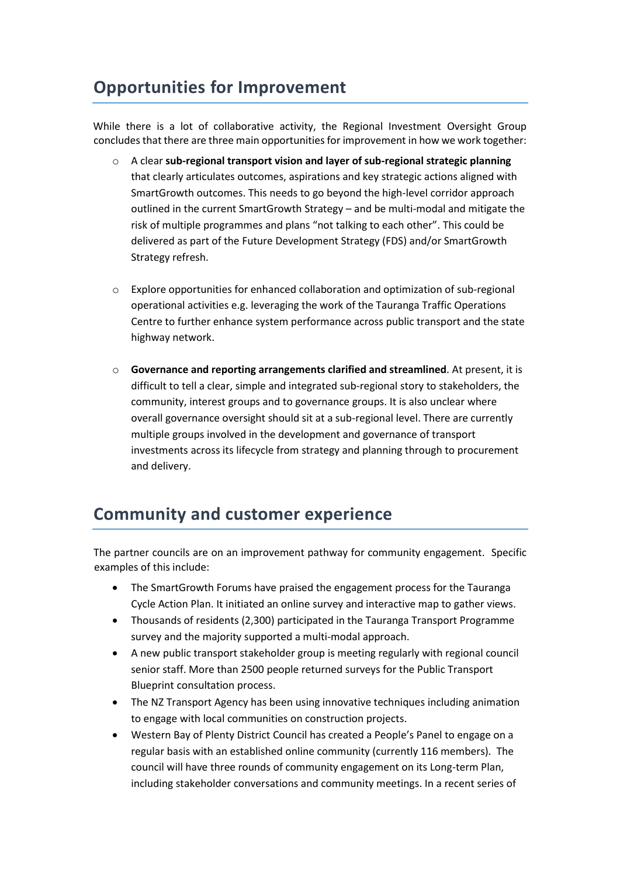## **Opportunities for Improvement**

While there is a lot of collaborative activity, the Regional Investment Oversight Group concludes that there are three main opportunities for improvement in how we work together:

- o A clear **sub-regional transport vision and layer of sub-regional strategic planning** that clearly articulates outcomes, aspirations and key strategic actions aligned with SmartGrowth outcomes. This needs to go beyond the high-level corridor approach outlined in the current SmartGrowth Strategy – and be multi-modal and mitigate the risk of multiple programmes and plans "not talking to each other". This could be delivered as part of the Future Development Strategy (FDS) and/or SmartGrowth Strategy refresh.
- $\circ$  Explore opportunities for enhanced collaboration and optimization of sub-regional operational activities e.g. leveraging the work of the Tauranga Traffic Operations Centre to further enhance system performance across public transport and the state highway network.
- o **Governance and reporting arrangements clarified and streamlined**. At present, it is difficult to tell a clear, simple and integrated sub-regional story to stakeholders, the community, interest groups and to governance groups. It is also unclear where overall governance oversight should sit at a sub-regional level. There are currently multiple groups involved in the development and governance of transport investments across its lifecycle from strategy and planning through to procurement and delivery.

## **Community and customer experience**

The partner councils are on an improvement pathway for community engagement. Specific examples of this include:

- The SmartGrowth Forums have praised the engagement process for the Tauranga Cycle Action Plan. It initiated an online survey and interactive map to gather views.
- Thousands of residents (2,300) participated in the Tauranga Transport Programme survey and the majority supported a multi-modal approach.
- A new public transport stakeholder group is meeting regularly with regional council senior staff. More than 2500 people returned surveys for the Public Transport Blueprint consultation process.
- The NZ Transport Agency has been using innovative techniques including animation to engage with local communities on construction projects.
- Western Bay of Plenty District Council has created a People's Panel to engage on a regular basis with an established online community (currently 116 members). The council will have three rounds of community engagement on its Long-term Plan, including stakeholder conversations and community meetings. In a recent series of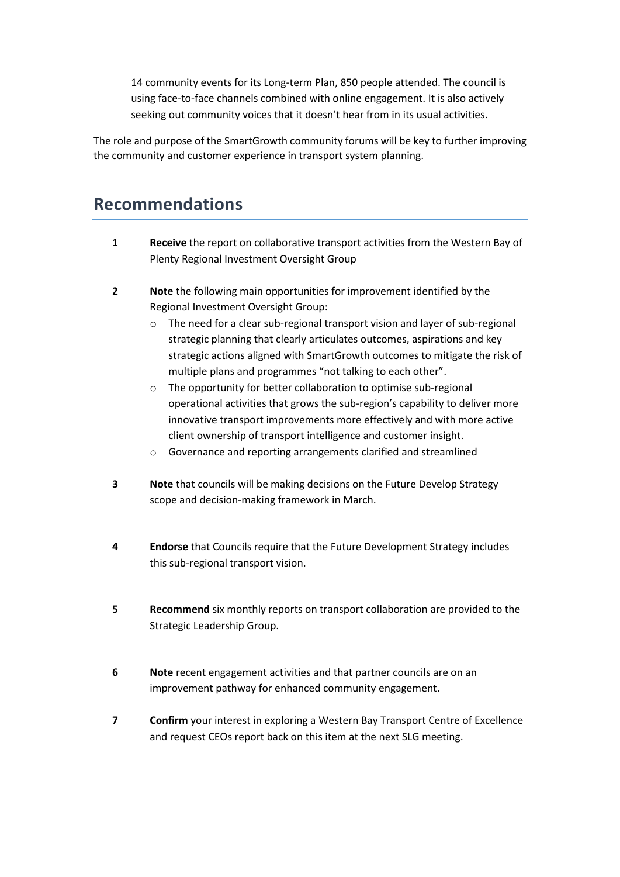14 community events for its Long-term Plan, 850 people attended. The council is using face-to-face channels combined with online engagement. It is also actively seeking out community voices that it doesn't hear from in its usual activities.

The role and purpose of the SmartGrowth community forums will be key to further improving the community and customer experience in transport system planning.

## **Recommendations**

- **1 Receive** the report on collaborative transport activities from the Western Bay of Plenty Regional Investment Oversight Group
- **2 Note** the following main opportunities for improvement identified by the Regional Investment Oversight Group:
	- o The need for a clear sub-regional transport vision and layer of sub-regional strategic planning that clearly articulates outcomes, aspirations and key strategic actions aligned with SmartGrowth outcomes to mitigate the risk of multiple plans and programmes "not talking to each other".
	- o The opportunity for better collaboration to optimise sub-regional operational activities that grows the sub-region's capability to deliver more innovative transport improvements more effectively and with more active client ownership of transport intelligence and customer insight.
	- o Governance and reporting arrangements clarified and streamlined
- **3 Note** that councils will be making decisions on the Future Develop Strategy scope and decision-making framework in March.
- **4 Endorse** that Councils require that the Future Development Strategy includes this sub-regional transport vision.
- **5 Recommend** six monthly reports on transport collaboration are provided to the Strategic Leadership Group.
- **6 Note** recent engagement activities and that partner councils are on an improvement pathway for enhanced community engagement.
- **7 Confirm** your interest in exploring a Western Bay Transport Centre of Excellence and request CEOs report back on this item at the next SLG meeting.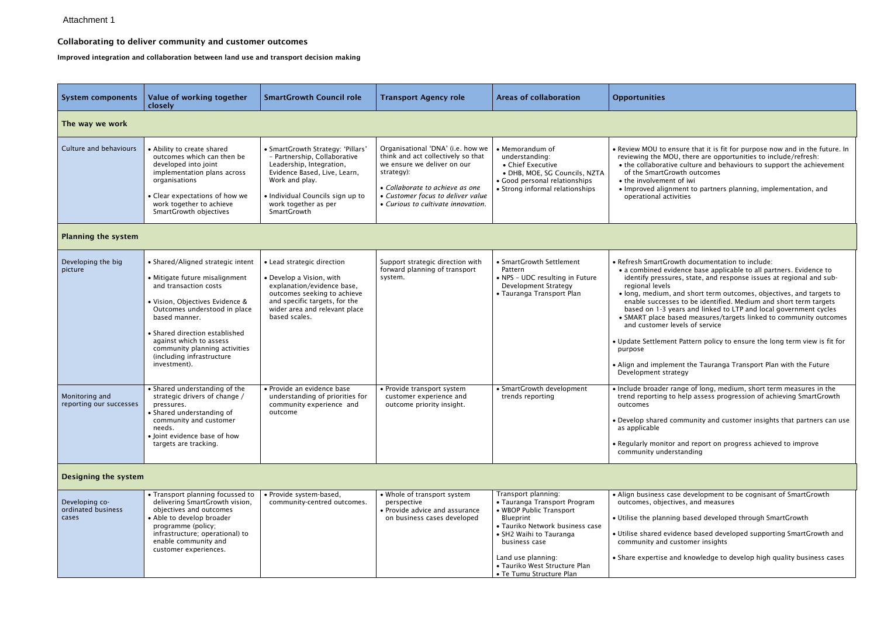### Collaborating to deliver community and customer outcomes

Improved integration and collaboration between land use and transport decision making

| <b>Opportunities</b>                                                                                                                                                                                                   |
|------------------------------------------------------------------------------------------------------------------------------------------------------------------------------------------------------------------------|
|                                                                                                                                                                                                                        |
| • Review MOU to ensure that it is fit for purpose now and in the future. In<br>reviewing the MOU, there are opportunities to include/refresh:<br>• the collaborative culture and behaviours to support the achievement |

- tGrowth outcomes
- nent of iwi
- lignment to partners planning, implementation, and activities
- Growth documentation to include:
- evidence base applicable to all partners. Evidence to identify pressures, state, and response issues at regional and subels
- im, and short term outcomes, objectives, and targets to esses to be identified. Medium and short term targets bears and linked to LTP and local government cycles based measures/targets linked to community outcomes er levels of service
- ment Pattern policy to ensure the long term view is fit for
- lement the Tauranga Transport Plan with the Future strategy
- er range of long, medium, short term measures in the g to help assess progression of achieving SmartGrowth
- ed community and customer insights that partners can use
- itor and report on progress achieved to improve derstanding
- align case development to be cognisant of SmartGrowth ectives, and measures
- nning based developed through SmartGrowth
- evidence based developed supporting SmartGrowth and nd customer insights
- se and knowledge to develop high quality business cases

| <b>System components</b>                                                   | Value of working together<br>closely                                                                                                                                                                                                                                                                                                                                                                                                                               | <b>SmartGrowth Council role</b>                                                                                                                                                                                                                                                                                | <b>Transport Agency role</b>                                                                                                                                                                                                       | <b>Areas of collaboration</b>                                                                                                                                                                                                                                 | <b>Opportunities</b>                                                                                                                                                                                                                                                                                     |
|----------------------------------------------------------------------------|--------------------------------------------------------------------------------------------------------------------------------------------------------------------------------------------------------------------------------------------------------------------------------------------------------------------------------------------------------------------------------------------------------------------------------------------------------------------|----------------------------------------------------------------------------------------------------------------------------------------------------------------------------------------------------------------------------------------------------------------------------------------------------------------|------------------------------------------------------------------------------------------------------------------------------------------------------------------------------------------------------------------------------------|---------------------------------------------------------------------------------------------------------------------------------------------------------------------------------------------------------------------------------------------------------------|----------------------------------------------------------------------------------------------------------------------------------------------------------------------------------------------------------------------------------------------------------------------------------------------------------|
| The way we work                                                            |                                                                                                                                                                                                                                                                                                                                                                                                                                                                    |                                                                                                                                                                                                                                                                                                                |                                                                                                                                                                                                                                    |                                                                                                                                                                                                                                                               |                                                                                                                                                                                                                                                                                                          |
| Culture and behaviours                                                     | • Ability to create shared<br>outcomes which can then be<br>developed into joint<br>implementation plans across<br>organisations<br>• Clear expectations of how we<br>work together to achieve<br>SmartGrowth objectives                                                                                                                                                                                                                                           | • SmartGrowth Strategy: 'Pillars'<br>- Partnership, Collaborative<br>Leadership, Integration,<br>Evidence Based, Live, Learn,<br>Work and play.<br>· Individual Councils sign up to<br>work together as per<br>SmartGrowth                                                                                     | Organisational 'DNA' (i.e. how we<br>think and act collectively so that<br>we ensure we deliver on our<br>strategy):<br>• Collaborate to achieve as one<br>• Customer focus to deliver value<br>• Curious to cultivate innovation. | • Memorandum of<br>understanding:<br>• Chief Executive<br>· DHB, MOE, SG Councils, NZTA<br>• Good personal relationships<br>• Strong informal relationships                                                                                                   | • Review MOU to<br>reviewing the M<br>• the collaborat<br>of the SmartC<br>• the involveme<br>• Improved alig<br>operational a                                                                                                                                                                           |
| <b>Planning the system</b>                                                 |                                                                                                                                                                                                                                                                                                                                                                                                                                                                    |                                                                                                                                                                                                                                                                                                                |                                                                                                                                                                                                                                    |                                                                                                                                                                                                                                                               |                                                                                                                                                                                                                                                                                                          |
| Developing the big<br>picture<br>Monitoring and<br>reporting our successes | • Shared/Aligned strategic intent<br>• Mitigate future misalignment<br>and transaction costs<br>· Vision, Objectives Evidence &<br>Outcomes understood in place<br>based manner.<br>• Shared direction established<br>against which to assess<br>community planning activities<br>(including infrastructure<br>investment).<br>• Shared understanding of the<br>strategic drivers of change /<br>pressures.<br>• Shared understanding of<br>community and customer | • Lead strategic direction<br>• Develop a Vision, with<br>explanation/evidence base,<br>outcomes seeking to achieve<br>and specific targets, for the<br>wider area and relevant place<br>based scales.<br>• Provide an evidence base<br>understanding of priorities for<br>community experience and<br>outcome | Support strategic direction with<br>forward planning of transport<br>system.<br>• Provide transport system<br>customer experience and<br>outcome priority insight.                                                                 | • SmartGrowth Settlement<br>Pattern<br>• NPS - UDC resulting in Future<br>Development Strategy<br>• Tauranga Transport Plan<br>• SmartGrowth development<br>trends reporting                                                                                  | • Refresh SmartG<br>• a combined e<br>identify press<br>regional level<br>· long, medium<br>enable succes<br>based on 1-3<br>• SMART place<br>and customer<br>• Update Settlem<br>purpose<br>• Align and imple<br>Development st<br>· Include broader<br>trend reporting<br>outcomes<br>• Develop shared |
|                                                                            | needs.<br>• Joint evidence base of how<br>targets are tracking.                                                                                                                                                                                                                                                                                                                                                                                                    |                                                                                                                                                                                                                                                                                                                |                                                                                                                                                                                                                                    |                                                                                                                                                                                                                                                               | as applicable<br>• Regularly monit<br>community unc                                                                                                                                                                                                                                                      |
| <b>Designing the system</b>                                                |                                                                                                                                                                                                                                                                                                                                                                                                                                                                    |                                                                                                                                                                                                                                                                                                                |                                                                                                                                                                                                                                    |                                                                                                                                                                                                                                                               |                                                                                                                                                                                                                                                                                                          |
| Developing co-<br>ordinated business<br>cases                              | • Transport planning focussed to<br>delivering SmartGrowth vision,<br>objectives and outcomes<br>• Able to develop broader<br>programme (policy;<br>infrastructure; operational) to<br>enable community and<br>customer experiences.                                                                                                                                                                                                                               | · Provide system-based,<br>community-centred outcomes.                                                                                                                                                                                                                                                         | • Whole of transport system<br>perspective<br>• Provide advice and assurance<br>on business cases developed                                                                                                                        | Transport planning:<br>• Tauranga Transport Program<br>• WBOP Public Transport<br>Blueprint<br>· Tauriko Network business case<br>• SH2 Waihi to Tauranga<br>business case<br>Land use planning:<br>• Tauriko West Structure Plan<br>• Te Tumu Structure Plan | • Align business<br>outcomes, obje<br>• Utilise the plan<br>· Utilise shared e<br>community and<br>• Share expertise                                                                                                                                                                                     |

### Attachment 1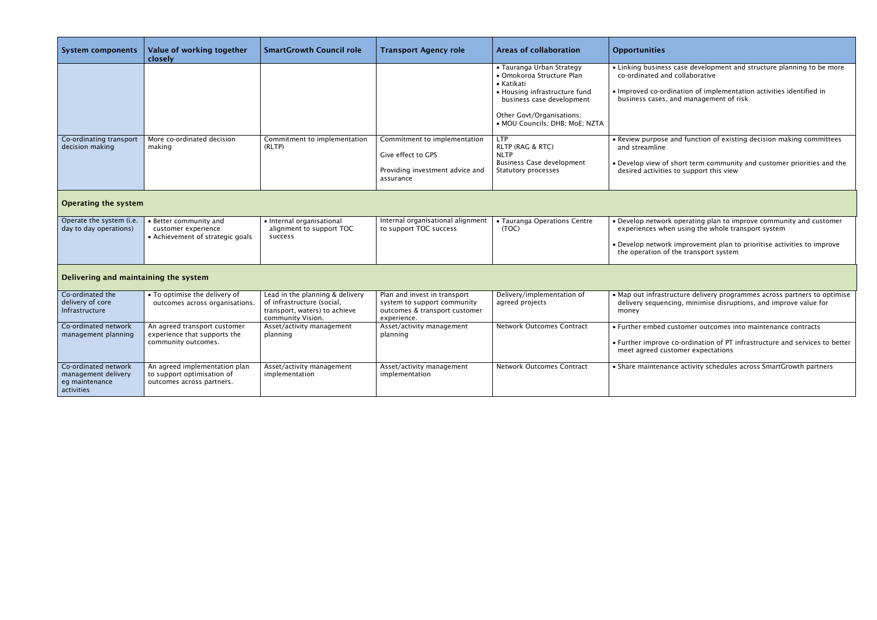Improved co-ordination of implementation activities identified in business cases, and management of risk

and function of existing decision making committees

f short term community and customer priorities and the desired activities to support this view

| Value of working together<br><b>System components</b><br>closely            |                                                                                          | <b>SmartGrowth Council role</b>                               | <b>Transport Agency role</b>                                | <b>Areas of collaboration</b>                                        | <b>Opportunities</b>                 |  |
|-----------------------------------------------------------------------------|------------------------------------------------------------------------------------------|---------------------------------------------------------------|-------------------------------------------------------------|----------------------------------------------------------------------|--------------------------------------|--|
|                                                                             |                                                                                          |                                                               |                                                             | • Tauranga Urban Strategy<br>· Omokoroa Structure Plan<br>• Katikati | • Linking busines<br>co-ordinated an |  |
|                                                                             |                                                                                          |                                                               |                                                             | • Housing infrastructure fund<br>business case development           | · Improved co-or<br>business cases,  |  |
|                                                                             |                                                                                          |                                                               |                                                             | Other Govt/Organisations:<br>· MOU Councils; DHB; MoE; NZTA          |                                      |  |
| Co-ordinating transport                                                     | More co-ordinated decision                                                               | Commitment to implementation                                  | Commitment to implementation                                | <b>LTP</b>                                                           | · Review purpose                     |  |
| decision making                                                             | making                                                                                   | (RLTP)                                                        | Give effect to GPS                                          | RLTP (RAG & RTC)<br><b>NLTP</b>                                      | and streamline                       |  |
|                                                                             |                                                                                          |                                                               |                                                             | <b>Business Case development</b>                                     | · Develop view of                    |  |
|                                                                             |                                                                                          |                                                               | Providing investment advice and<br>assurance                | Statutory processes                                                  | desired activitie                    |  |
| <b>Operating the system</b>                                                 |                                                                                          |                                                               |                                                             |                                                                      |                                      |  |
| Operate the system (i.e.                                                    | • Better community and                                                                   | · Internal organisational                                     | Internal organisational alignment                           | • Tauranga Operations Centre                                         | · Develop networ                     |  |
| day to day operations)                                                      | customer experience<br>• Achievement of strategic goals                                  | alignment to support TOC<br>success                           | to support TOC success                                      | (TOC)                                                                | experiences wh                       |  |
|                                                                             |                                                                                          |                                                               |                                                             |                                                                      | · Develop networ<br>the operation o  |  |
| Delivering and maintaining the system                                       |                                                                                          |                                                               |                                                             |                                                                      |                                      |  |
| Co-ordinated the<br>delivery of core                                        | • To optimise the delivery of<br>outcomes across organisations.                          | Lead in the planning & delivery<br>of infrastructure (social, | Plan and invest in transport<br>system to support community | Delivery/implementation of<br>agreed projects                        | • Map out infrast<br>delivery sequen |  |
| Infrastructure                                                              |                                                                                          | transport, waters) to achieve<br>community Vision.            | outcomes & transport customer<br>experience.                |                                                                      | money                                |  |
| Co-ordinated network                                                        | An agreed transport customer                                                             | Asset/activity management                                     | Asset/activity management                                   | <b>Network Outcomes Contract</b>                                     | • Further embed                      |  |
| management planning                                                         | experience that supports the<br>community outcomes.                                      | planning                                                      | planning                                                    |                                                                      | • Further improve<br>meet agreed cu  |  |
| Co-ordinated network<br>management delivery<br>eg maintenance<br>activities | An agreed implementation plan<br>to support optimisation of<br>outcomes across partners. | Asset/activity management<br>implementation                   | Asset/activity management<br>implementation                 | <b>Network Outcomes Contract</b>                                     | • Share maintena                     |  |

ss case development and structure planning to be more nd collaborative

 Develop network operating plan to improve community and customer experiences when using the whole transport system

> rk improvement plan to prioritise activities to improve of the transport system

 Map out infrastructure delivery programmes across partners to optimise delivery sequencing, minimise disruptions, and improve value for

customer outcomes into maintenance contracts

e co-ordination of PT infrastructure and services to better ustomer expectations

ance activity schedules across SmartGrowth partners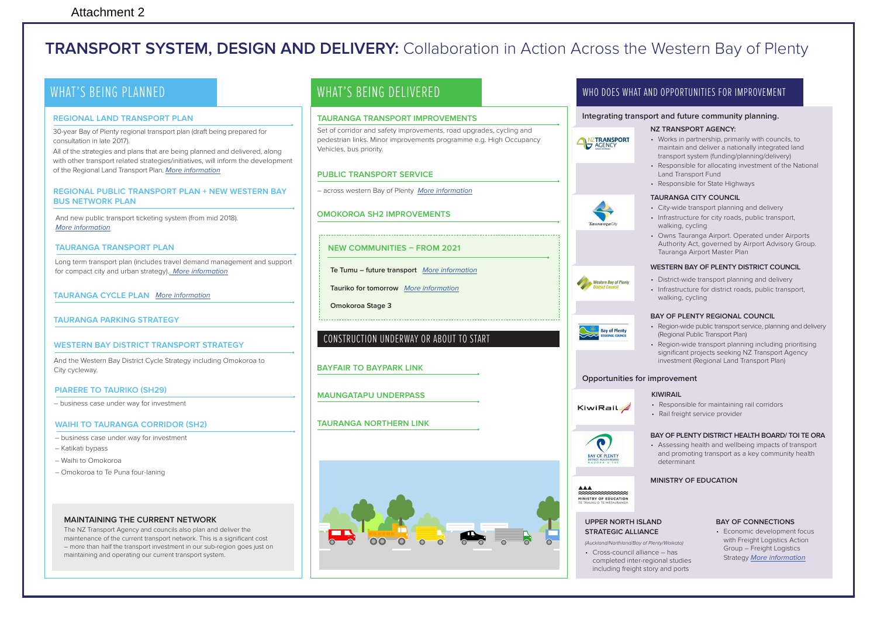## **TRANSPORT SYSTEM, DESIGN AND DELIVERY:** Collaboration in Action Across the Western Bay of Plenty

### WHAT'S BEING PLANNED

#### **REGIONAL LAND TRANSPORT PLAN**

30-year Bay of Plenty regional transport plan (draft being prepared for consultation in late 2017).

All of the strategies and plans that are being planned and delivered, along with other transport related strategies/initiatives, will inform the development of the Regional Land Transport Plan. More information

#### **REGIONAL PUBLIC TRANSPORT PLAN + NEW WESTERN BAY BUS NETWORK PLAN**

And new public transport ticketing system (from mid 2018). More information

#### **TAURANGA TRANSPORT PLAN**

Long term transport plan (includes travel demand management and support for compact city and urban strategy). More information

#### **TAURANGA CYCLE PLAN** More information

**TAURANGA PARKING STRATEGY**

#### **WESTERN BAY DISTRICT TRANSPORT STRATEGY**

And the Western Bay District Cycle Strategy including Omokoroa to City cycleway.

#### **PIARERE TO TAURIKO (SH29)**

– business case under way for investment

#### **WAIHI TO TAURANGA CORRIDOR (SH2)**

- business case under way for investment
- Katikati bypass
- Waihi to Omokoroa
- Omokoroa to Te Puna four-laning

#### **MAINTAINING THE CURRENT NETWORK**

The NZ Transport Agency and councils also plan and deliver the maintenance of the current transport network. This is a significant cost – more than half the transport investment in our sub-region goes just on maintaining and operating our current transport system.

### WHAT'S BEING DELIVERED

#### **TAURANGA TRANSPORT IMPROVEMENTS**

Set of corridor and safety improvements, road upgrades, cycling and pedestrian links. Minor improvements programme e.g. High Occupancy Vehicles, bus priority.

#### **PUBLIC TRANSPORT SERVICE**

- across western Bay of Plenty More information
- **OMOKOROA SH2 IMPROVEMENTS**
- **NEW COMMUNITIES FROM 2021**
- **Te Tumu future transport** More information
- **Tauriko for tomorrow** More information
- **Omokoroa Stage 3**

### CONSTRUCTION UNDERWAY OR ABOUT TO START

**BAYFAIR TO BAYPARK LINK**

**MAUNGATAPU UNDERPASS**

#### **TAURANGA NORTHERN LINK**



### WHO DOES WHAT AND OPPORTUNITIES FOR IMPROVEMENT

#### **Integrating transport and future community planning.**

#### **NZ TRANSPORT AGENCY:**

- ANZTRANSPORT
- Works in partnership, primarily with councils, to maintain and deliver a nationally integrated land transport system (funding/planning/delivery)
- Responsible for allocating investment of the National Land Transport Fund
- Responsible for State Highways

#### **TAURANGA CITY COUNCIL**

- City-wide transport planning and delivery
- Infrastructure for city roads, public transport, walking, cycling
- Owns Tauranga Airport. Operated under Airports Authority Act, governed by Airport Advisory Group. Tauranga Airport Master Plan

#### **WESTERN BAY OF PLENTY DISTRICT COUNCIL**



• Infrastructure for district roads, public transport, walking, cycling

#### **BAY OF PLENTY REGIONAL COUNCIL**

- Region-wide public transport service, planning and delivery (Regional Public Transport Plan)
- Region-wide transport planning including prioritising significant projects seeking NZ Transport Agency investment (Regional Land Transport Plan)

#### **Opportunities for improvement**

completed inter-regional studies including freight story and ports

#### **KIWIRAIL**

- Responsible for maintaining rail corridors KiwiRail*-<mark>2</mark>* 
	- Rail freight service provider

#### **BAY OF PLENTY DISTRICT HEALTH BOARD/ TOI TE ORA**

• Assessing health and wellbeing impacts of transport and promoting transport as a key community health determinant

#### **MINISTRY OF EDUCATION**

#### **BAY OF CONNECTIONS**

• Economic development focus with Freight Logistics Action Group – Freight Logistics Strategy More information









 $\bullet$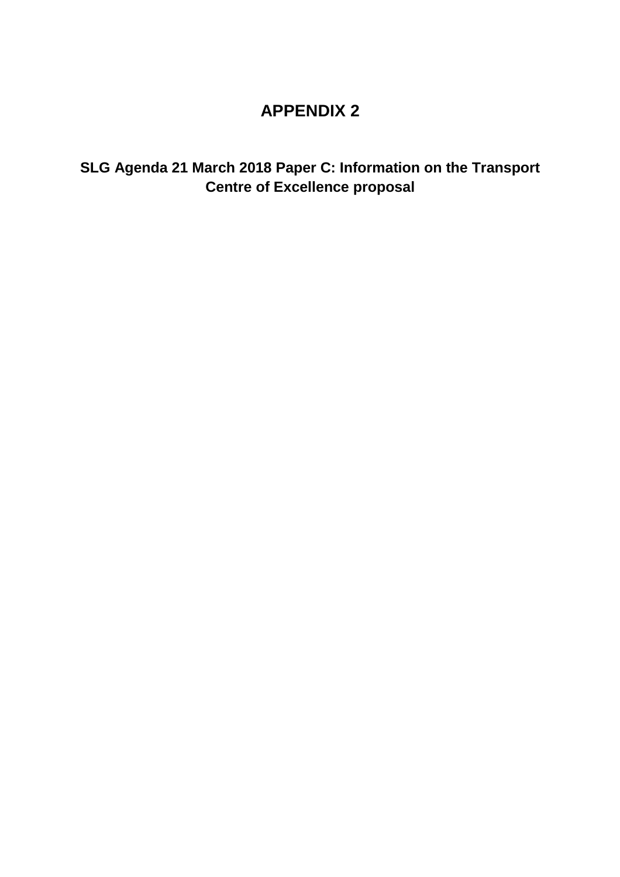## **APPENDIX 2**

**SLG Agenda 21 March 2018 Paper C: Information on the Transport Centre of Excellence proposal**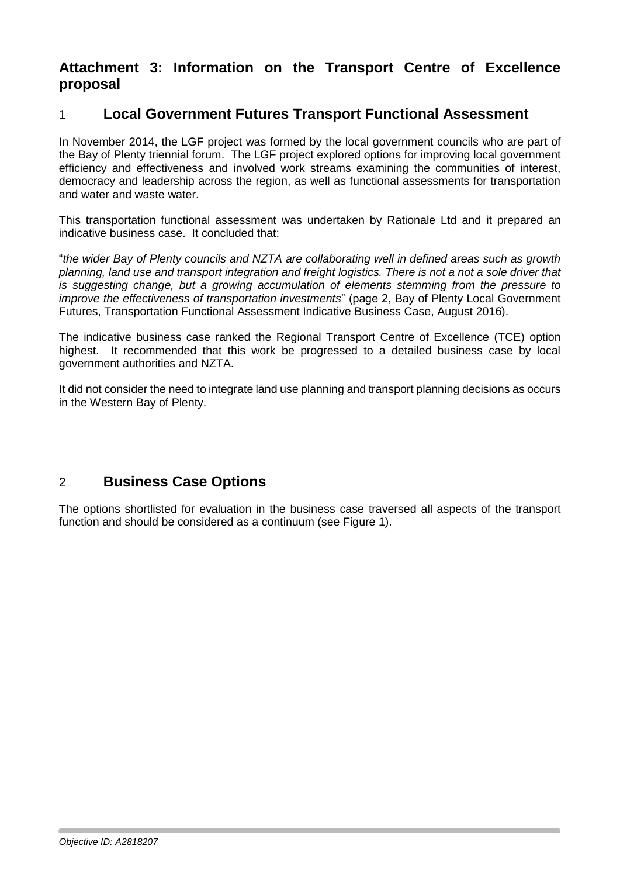## **Attachment 3: Information on the Transport Centre of Excellence proposal**

## 1 **Local Government Futures Transport Functional Assessment**

In November 2014, the LGF project was formed by the local government councils who are part of the Bay of Plenty triennial forum. The LGF project explored options for improving local government efficiency and effectiveness and involved work streams examining the communities of interest, democracy and leadership across the region, as well as functional assessments for transportation and water and waste water.

This transportation functional assessment was undertaken by Rationale Ltd and it prepared an indicative business case. It concluded that:

"*the wider Bay of Plenty councils and NZTA are collaborating well in defined areas such as growth planning, land use and transport integration and freight logistics. There is not a not a sole driver that is suggesting change, but a growing accumulation of elements stemming from the pressure to improve the effectiveness of transportation investments*" (page 2, Bay of Plenty Local Government Futures, Transportation Functional Assessment Indicative Business Case, August 2016).

The indicative business case ranked the Regional Transport Centre of Excellence (TCE) option highest. It recommended that this work be progressed to a detailed business case by local government authorities and NZTA.

It did not consider the need to integrate land use planning and transport planning decisions as occurs in the Western Bay of Plenty.

## 2 **Business Case Options**

The options shortlisted for evaluation in the business case traversed all aspects of the transport function and should be considered as a continuum (see [Figure 1\)](#page-18-0).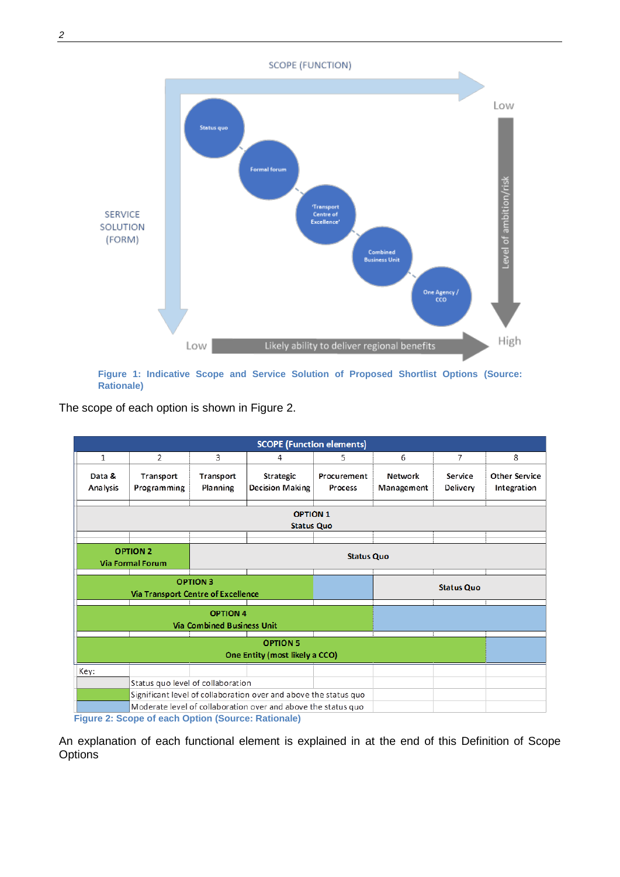**SCOPE (FUNCTION)** Low Status quo **Formal forum** Level of ambition/risk Transport<br>Centre of<br>Excellence **SERVICE** SOLUTION (FORM) **Combined**<br>Business Unit One Agency /<br>CCO High Low Likely ability to deliver regional benefits

<span id="page-18-0"></span>**Figure 1: Indicative Scope and Service Solution of Proposed Shortlist Options (Source: Rationale)**

The scope of each option is shown in [Figure 2.](#page-18-1)



<span id="page-18-1"></span>An explanation of each functional element is explained in at the end of this [Definition of Scope](#page-20-0)  **[Options](#page-20-0)**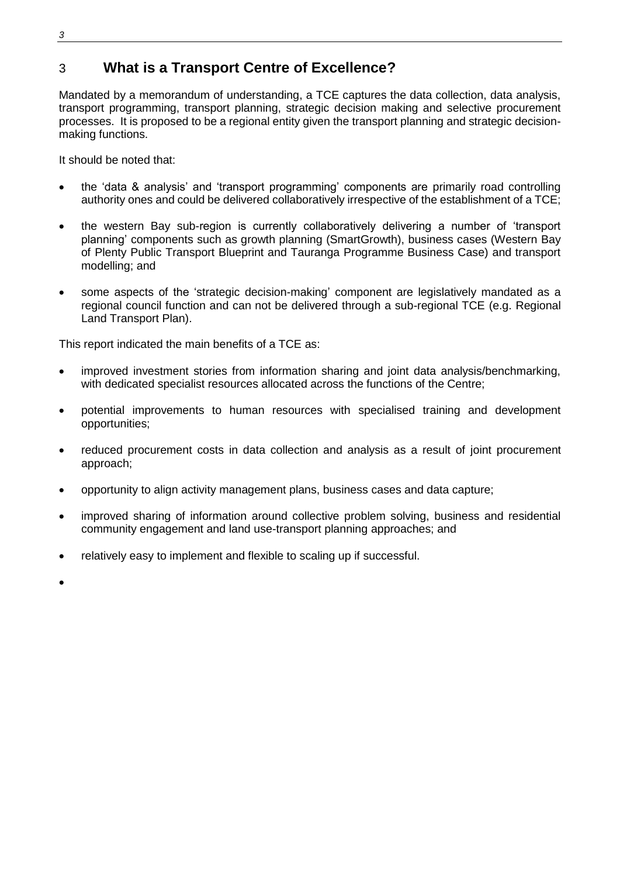## 3 **What is a Transport Centre of Excellence?**

Mandated by a memorandum of understanding, a TCE captures the data collection, data analysis, transport programming, transport planning, strategic decision making and selective procurement processes. It is proposed to be a regional entity given the transport planning and strategic decisionmaking functions.

It should be noted that:

- the 'data & analysis' and 'transport programming' components are primarily road controlling authority ones and could be delivered collaboratively irrespective of the establishment of a TCE;
- the western Bay sub-region is currently collaboratively delivering a number of 'transport planning' components such as growth planning (SmartGrowth), business cases (Western Bay of Plenty Public Transport Blueprint and Tauranga Programme Business Case) and transport modelling; and
- some aspects of the 'strategic decision-making' component are legislatively mandated as a regional council function and can not be delivered through a sub-regional TCE (e.g. Regional Land Transport Plan).

This report indicated the main benefits of a TCE as:

- improved investment stories from information sharing and joint data analysis/benchmarking, with dedicated specialist resources allocated across the functions of the Centre;
- potential improvements to human resources with specialised training and development opportunities;
- reduced procurement costs in data collection and analysis as a result of joint procurement approach;
- opportunity to align activity management plans, business cases and data capture;
- improved sharing of information around collective problem solving, business and residential community engagement and land use-transport planning approaches; and
- relatively easy to implement and flexible to scaling up if successful.

 $\bullet$ 

*3*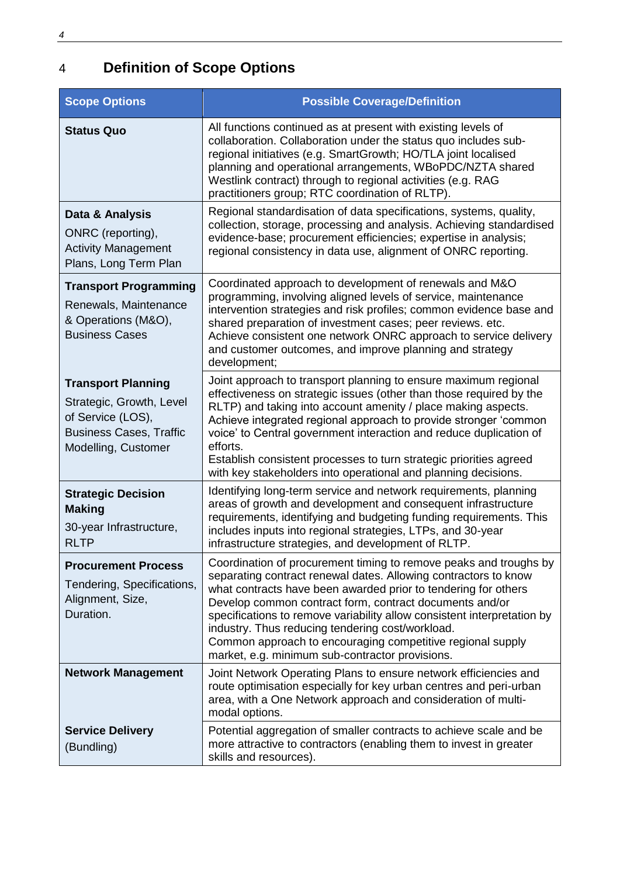## <span id="page-20-0"></span>4 **Definition of Scope Options**

| <b>Scope Options</b>                                                                                                                | <b>Possible Coverage/Definition</b>                                                                                                                                                                                                                                                                                                                                                                                                                                                                               |
|-------------------------------------------------------------------------------------------------------------------------------------|-------------------------------------------------------------------------------------------------------------------------------------------------------------------------------------------------------------------------------------------------------------------------------------------------------------------------------------------------------------------------------------------------------------------------------------------------------------------------------------------------------------------|
| <b>Status Quo</b>                                                                                                                   | All functions continued as at present with existing levels of<br>collaboration. Collaboration under the status quo includes sub-<br>regional initiatives (e.g. SmartGrowth; HO/TLA joint localised<br>planning and operational arrangements, WBoPDC/NZTA shared<br>Westlink contract) through to regional activities (e.g. RAG<br>practitioners group; RTC coordination of RLTP).                                                                                                                                 |
| Data & Analysis<br>ONRC (reporting),<br><b>Activity Management</b><br>Plans, Long Term Plan                                         | Regional standardisation of data specifications, systems, quality,<br>collection, storage, processing and analysis. Achieving standardised<br>evidence-base; procurement efficiencies; expertise in analysis;<br>regional consistency in data use, alignment of ONRC reporting.                                                                                                                                                                                                                                   |
| <b>Transport Programming</b><br>Renewals, Maintenance<br>& Operations (M&O),<br><b>Business Cases</b>                               | Coordinated approach to development of renewals and M&O<br>programming, involving aligned levels of service, maintenance<br>intervention strategies and risk profiles; common evidence base and<br>shared preparation of investment cases; peer reviews. etc.<br>Achieve consistent one network ONRC approach to service delivery<br>and customer outcomes, and improve planning and strategy<br>development;                                                                                                     |
| <b>Transport Planning</b><br>Strategic, Growth, Level<br>of Service (LOS),<br><b>Business Cases, Traffic</b><br>Modelling, Customer | Joint approach to transport planning to ensure maximum regional<br>effectiveness on strategic issues (other than those required by the<br>RLTP) and taking into account amenity / place making aspects.<br>Achieve integrated regional approach to provide stronger 'common<br>voice' to Central government interaction and reduce duplication of<br>efforts.<br>Establish consistent processes to turn strategic priorities agreed<br>with key stakeholders into operational and planning decisions.             |
| <b>Strategic Decision</b><br><b>Making</b><br>30-year Infrastructure,<br><b>RLTP</b>                                                | Identifying long-term service and network requirements, planning<br>areas of growth and development and consequent infrastructure<br>requirements, identifying and budgeting funding requirements. This<br>includes inputs into regional strategies, LTPs, and 30-year<br>infrastructure strategies, and development of RLTP.                                                                                                                                                                                     |
| <b>Procurement Process</b><br>Tendering, Specifications,<br>Alignment, Size,<br>Duration.                                           | Coordination of procurement timing to remove peaks and troughs by<br>separating contract renewal dates. Allowing contractors to know<br>what contracts have been awarded prior to tendering for others<br>Develop common contract form, contract documents and/or<br>specifications to remove variability allow consistent interpretation by<br>industry. Thus reducing tendering cost/workload.<br>Common approach to encouraging competitive regional supply<br>market, e.g. minimum sub-contractor provisions. |
| <b>Network Management</b>                                                                                                           | Joint Network Operating Plans to ensure network efficiencies and<br>route optimisation especially for key urban centres and peri-urban<br>area, with a One Network approach and consideration of multi-<br>modal options.                                                                                                                                                                                                                                                                                         |
| <b>Service Delivery</b><br>(Bundling)                                                                                               | Potential aggregation of smaller contracts to achieve scale and be<br>more attractive to contractors (enabling them to invest in greater<br>skills and resources).                                                                                                                                                                                                                                                                                                                                                |